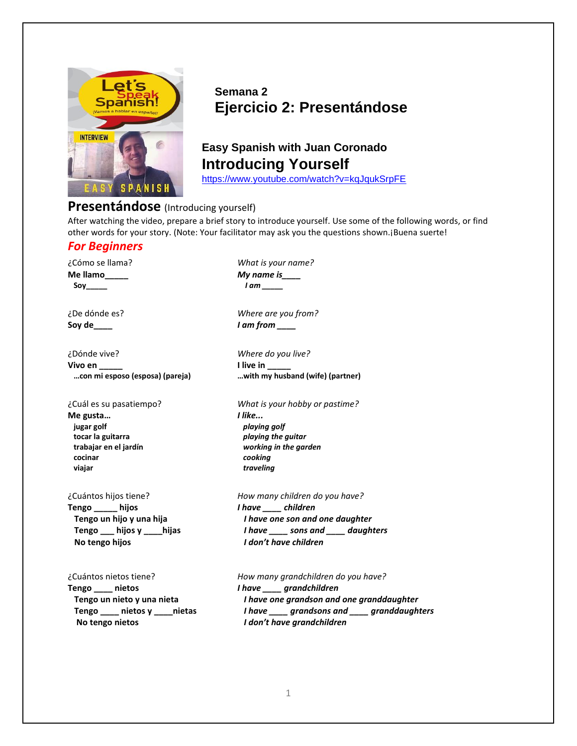

## **Semana 2 Ejercicio 2: Presentándose**

# **Easy Spanish with Juan Coronado Introducing Yourself**

<https://www.youtube.com/watch?v=kqJqukSrpFE>

### **Presentándose** (Introducing yourself)

After watching the video, prepare a brief story to introduce yourself. Use some of the following words, or find other words for your story. (Note: Your facilitator may ask you the questions shown.¡Buena suerte!

#### *For Beginners*

**Me llamo\_\_\_\_\_** *My name is\_\_\_\_*   **Soy\_\_\_\_\_** *I am \_\_\_\_\_*

**Soy de\_\_\_\_** *I am from \_\_\_\_*

¿Dónde vive? *Where do you live?*  **Vivo en live in the live in the live in the live in the live in the live in the live in the live in the live in the live in the live in the live in the live in the live in the live in the live in the live in the live in t** 

**Me gusta…** *I like...*  **jugar golf** *playing golf*  **tocar la guitarra** *playing the guitar*  **trabajar en el jardín** *working in the garden*  **cocinar** *cooking*  **viajar** *traveling*

**Tengo \_\_\_\_\_ hijos** *I have \_\_\_\_ children*  **No tengo hijos** *I don't have children*

**Tengo \_\_\_\_ nietos** *I have \_\_\_\_ grandchildren*  **No tengo nietos** *I don't have grandchildren*

¿Cómo se llama? *What is your name?* 

¿De dónde es? *Where are you from?*

 **…con mi esposo (esposa) (pareja) …with my husband (wife) (partner)**

¿Cuál es su pasatiempo? *What is your hobby or pastime?*

¿Cuántos hijos tiene? *How many children do you have?*  **Tengo un hijo y una hija** *I have one son and one daughter*  **Tengo \_\_\_ hijos y \_\_\_\_hijas** *I have \_\_\_\_ sons and \_\_\_\_ daughters*

¿Cuántos nietos tiene? *How many grandchildren do you have?*  **Tengo un nieto y una nieta** *I have one grandson and one granddaughter*  **Tengo \_\_\_\_ nietos y \_\_\_\_nietas** *I have \_\_\_\_ grandsons and \_\_\_\_ granddaughters*